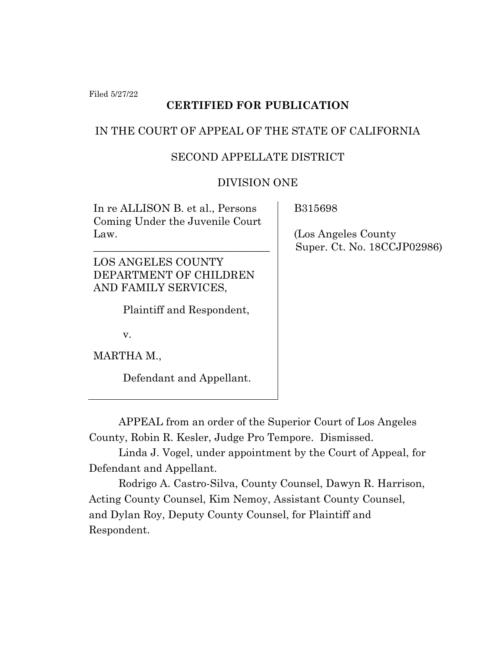Filed 5/27/22

# **CERTIFIED FOR PUBLICATION**

## IN THE COURT OF APPEAL OF THE STATE OF CALIFORNIA

#### SECOND APPELLATE DISTRICT

#### DIVISION ONE

In re ALLISON B. et al., Persons Coming Under the Juvenile Court Law.

\_\_\_\_\_\_\_\_\_\_\_\_\_\_\_\_\_\_\_\_\_\_\_\_\_\_\_\_\_\_\_\_\_

LOS ANGELES COUNTY DEPARTMENT OF CHILDREN AND FAMILY SERVICES,

Plaintiff and Respondent,

v.

MARTHA M.,

Defendant and Appellant.

B315698

 (Los Angeles County Super. Ct. No. 18CCJP02986)

APPEAL from an order of the Superior Court of Los Angeles County, Robin R. Kesler, Judge Pro Tempore. Dismissed.

Linda J. Vogel, under appointment by the Court of Appeal, for Defendant and Appellant.

Rodrigo A. Castro-Silva, County Counsel, Dawyn R. Harrison, Acting County Counsel, Kim Nemoy, Assistant County Counsel, and Dylan Roy, Deputy County Counsel, for Plaintiff and Respondent.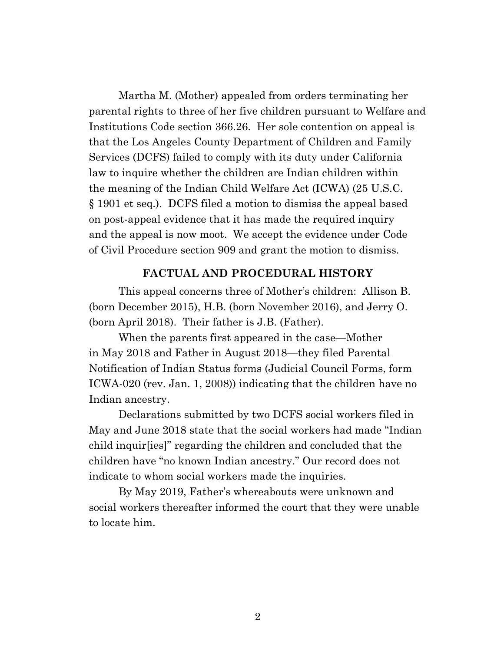Martha M. (Mother) appealed from orders terminating her parental rights to three of her five children pursuant to Welfare and Institutions Code section 366.26. Her sole contention on appeal is that the Los Angeles County Department of Children and Family Services (DCFS) failed to comply with its duty under California law to inquire whether the children are Indian children within the meaning of the Indian Child Welfare Act (ICWA) (25 U.S.C. § 1901 et seq.). DCFS filed a motion to dismiss the appeal based on post-appeal evidence that it has made the required inquiry and the appeal is now moot. We accept the evidence under Code of Civil Procedure section 909 and grant the motion to dismiss.

#### **FACTUAL AND PROCEDURAL HISTORY**

This appeal concerns three of Mother's children: Allison B. (born December 2015), H.B. (born November 2016), and Jerry O. (born April 2018). Their father is J.B. (Father).

When the parents first appeared in the case—Mother in May 2018 and Father in August 2018—they filed Parental Notification of Indian Status forms (Judicial Council Forms, form ICWA-020 (rev. Jan. 1, 2008)) indicating that the children have no Indian ancestry.

Declarations submitted by two DCFS social workers filed in May and June 2018 state that the social workers had made "Indian child inquir[ies]" regarding the children and concluded that the children have "no known Indian ancestry." Our record does not indicate to whom social workers made the inquiries.

By May 2019, Father's whereabouts were unknown and social workers thereafter informed the court that they were unable to locate him.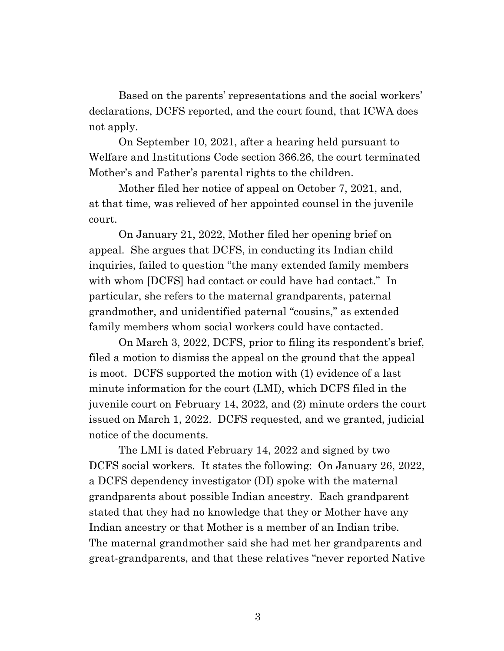Based on the parents' representations and the social workers' declarations, DCFS reported, and the court found, that ICWA does not apply.

On September 10, 2021, after a hearing held pursuant to Welfare and Institutions Code section 366.26, the court terminated Mother's and Father's parental rights to the children.

Mother filed her notice of appeal on October 7, 2021, and, at that time, was relieved of her appointed counsel in the juvenile court.

On January 21, 2022, Mother filed her opening brief on appeal. She argues that DCFS, in conducting its Indian child inquiries, failed to question "the many extended family members with whom [DCFS] had contact or could have had contact." In particular, she refers to the maternal grandparents, paternal grandmother, and unidentified paternal "cousins," as extended family members whom social workers could have contacted.

On March 3, 2022, DCFS, prior to filing its respondent's brief, filed a motion to dismiss the appeal on the ground that the appeal is moot. DCFS supported the motion with (1) evidence of a last minute information for the court (LMI), which DCFS filed in the juvenile court on February 14, 2022, and (2) minute orders the court issued on March 1, 2022. DCFS requested, and we granted, judicial notice of the documents.

The LMI is dated February 14, 2022 and signed by two DCFS social workers. It states the following: On January 26, 2022, a DCFS dependency investigator (DI) spoke with the maternal grandparents about possible Indian ancestry. Each grandparent stated that they had no knowledge that they or Mother have any Indian ancestry or that Mother is a member of an Indian tribe. The maternal grandmother said she had met her grandparents and great-grandparents, and that these relatives "never reported Native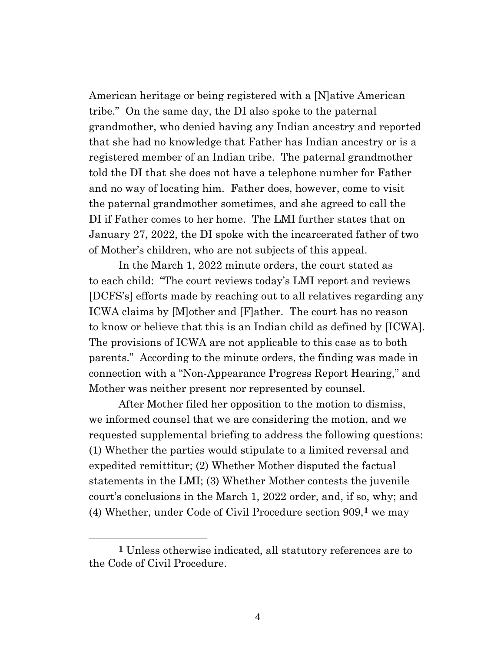American heritage or being registered with a [N]ative American tribe." On the same day, the DI also spoke to the paternal grandmother, who denied having any Indian ancestry and reported that she had no knowledge that Father has Indian ancestry or is a registered member of an Indian tribe. The paternal grandmother told the DI that she does not have a telephone number for Father and no way of locating him. Father does, however, come to visit the paternal grandmother sometimes, and she agreed to call the DI if Father comes to her home. The LMI further states that on January 27, 2022, the DI spoke with the incarcerated father of two of Mother's children, who are not subjects of this appeal.

In the March 1, 2022 minute orders, the court stated as to each child: "The court reviews today's LMI report and reviews [DCFS's] efforts made by reaching out to all relatives regarding any ICWA claims by [M]other and [F]ather. The court has no reason to know or believe that this is an Indian child as defined by [ICWA]. The provisions of ICWA are not applicable to this case as to both parents." According to the minute orders, the finding was made in connection with a "Non-Appearance Progress Report Hearing," and Mother was neither present nor represented by counsel.

After Mother filed her opposition to the motion to dismiss, we informed counsel that we are considering the motion, and we requested supplemental briefing to address the following questions: (1) Whether the parties would stipulate to a limited reversal and expedited remittitur; (2) Whether Mother disputed the factual statements in the LMI; (3) Whether Mother contests the juvenile court's conclusions in the March 1, 2022 order, and, if so, why; and (4) Whether, under Code of Civil Procedure section 909,**1** we may

**<sup>1</sup>** Unless otherwise indicated, all statutory references are to the Code of Civil Procedure.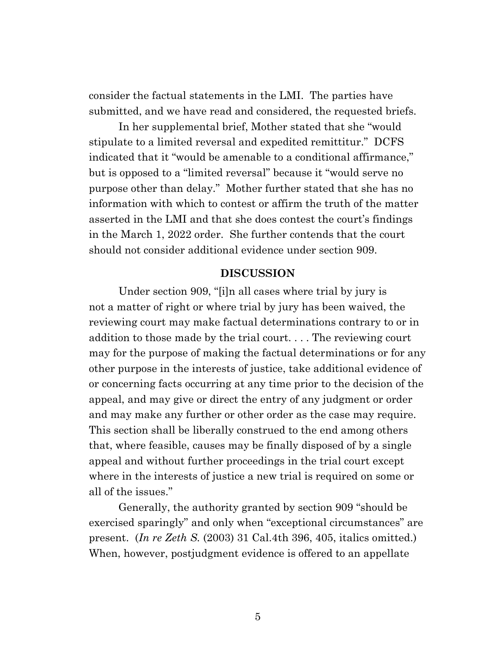consider the factual statements in the LMI. The parties have submitted, and we have read and considered, the requested briefs.

In her supplemental brief, Mother stated that she "would stipulate to a limited reversal and expedited remittitur." DCFS indicated that it "would be amenable to a conditional affirmance," but is opposed to a "limited reversal" because it "would serve no purpose other than delay." Mother further stated that she has no information with which to contest or affirm the truth of the matter asserted in the LMI and that she does contest the court's findings in the March 1, 2022 order. She further contends that the court should not consider additional evidence under section 909.

#### **DISCUSSION**

Under section 909, "[i]n all cases where trial by jury is not a matter of right or where trial by jury has been waived, the reviewing court may make factual determinations contrary to or in addition to those made by the trial court. . . . The reviewing court may for the purpose of making the factual determinations or for any other purpose in the interests of justice, take additional evidence of or concerning facts occurring at any time prior to the decision of the appeal, and may give or direct the entry of any judgment or order and may make any further or other order as the case may require. This section shall be liberally construed to the end among others that, where feasible, causes may be finally disposed of by a single appeal and without further proceedings in the trial court except where in the interests of justice a new trial is required on some or all of the issues."

Generally, the authority granted by section 909 "should be exercised sparingly" and only when "exceptional circumstances" are present. (*In re Zeth S.* (2003) 31 Cal.4th 396, 405, italics omitted.) When, however, postjudgment evidence is offered to an appellate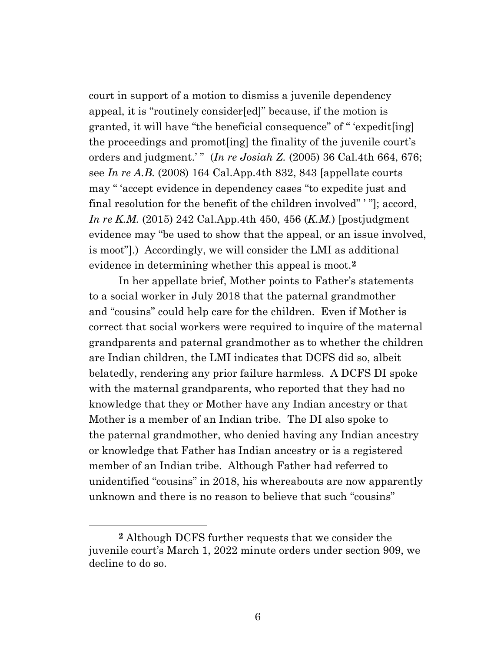court in support of a motion to dismiss a juvenile dependency appeal, it is "routinely consider[ed]" because, if the motion is granted, it will have "the beneficial consequence" of " 'expedit[ing] the proceedings and promot[ing] the finality of the juvenile court's orders and judgment.' " (*In re Josiah Z.* (2005) 36 Cal.4th 664, 676; see *In re A.B.* (2008) 164 Cal.App.4th 832, 843 [appellate courts may " 'accept evidence in dependency cases "to expedite just and final resolution for the benefit of the children involved" ' "]; accord, *In re K.M.* (2015) 242 Cal.App.4th 450, 456 (*K.M.*) [postjudgment evidence may "be used to show that the appeal, or an issue involved, is moot"].) Accordingly, we will consider the LMI as additional evidence in determining whether this appeal is moot.**2**

In her appellate brief, Mother points to Father's statements to a social worker in July 2018 that the paternal grandmother and "cousins" could help care for the children. Even if Mother is correct that social workers were required to inquire of the maternal grandparents and paternal grandmother as to whether the children are Indian children, the LMI indicates that DCFS did so, albeit belatedly, rendering any prior failure harmless. A DCFS DI spoke with the maternal grandparents, who reported that they had no knowledge that they or Mother have any Indian ancestry or that Mother is a member of an Indian tribe. The DI also spoke to the paternal grandmother, who denied having any Indian ancestry or knowledge that Father has Indian ancestry or is a registered member of an Indian tribe. Although Father had referred to unidentified "cousins" in 2018, his whereabouts are now apparently unknown and there is no reason to believe that such "cousins"

**<sup>2</sup>** Although DCFS further requests that we consider the juvenile court's March 1, 2022 minute orders under section 909, we decline to do so.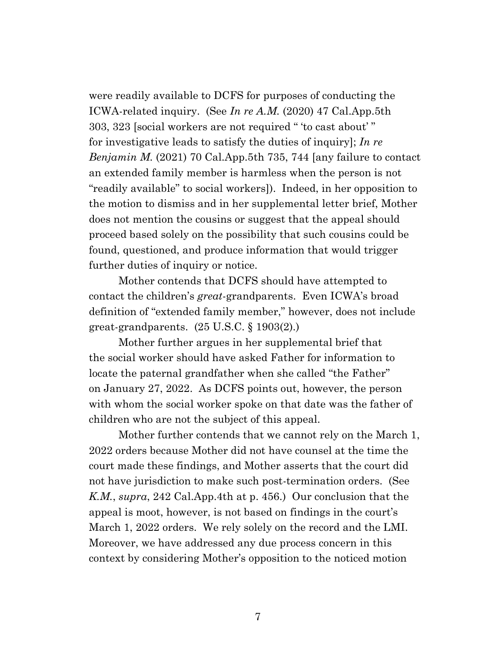were readily available to DCFS for purposes of conducting the ICWA-related inquiry. (See *In re A.M.* (2020) 47 Cal.App.5th 303, 323 [social workers are not required " 'to cast about' " for investigative leads to satisfy the duties of inquiry]; *In re Benjamin M.* (2021) 70 Cal.App.5th 735, 744 [any failure to contact an extended family member is harmless when the person is not "readily available" to social workers]). Indeed, in her opposition to the motion to dismiss and in her supplemental letter brief, Mother does not mention the cousins or suggest that the appeal should proceed based solely on the possibility that such cousins could be found, questioned, and produce information that would trigger further duties of inquiry or notice.

Mother contends that DCFS should have attempted to contact the children's *great*-grandparents. Even ICWA's broad definition of "extended family member," however, does not include great-grandparents. (25 U.S.C. § 1903(2).)

Mother further argues in her supplemental brief that the social worker should have asked Father for information to locate the paternal grandfather when she called "the Father" on January 27, 2022. As DCFS points out, however, the person with whom the social worker spoke on that date was the father of children who are not the subject of this appeal.

Mother further contends that we cannot rely on the March 1, 2022 orders because Mother did not have counsel at the time the court made these findings, and Mother asserts that the court did not have jurisdiction to make such post-termination orders. (See *K.M.*, *supra*, 242 Cal.App.4th at p. 456.) Our conclusion that the appeal is moot, however, is not based on findings in the court's March 1, 2022 orders. We rely solely on the record and the LMI. Moreover, we have addressed any due process concern in this context by considering Mother's opposition to the noticed motion